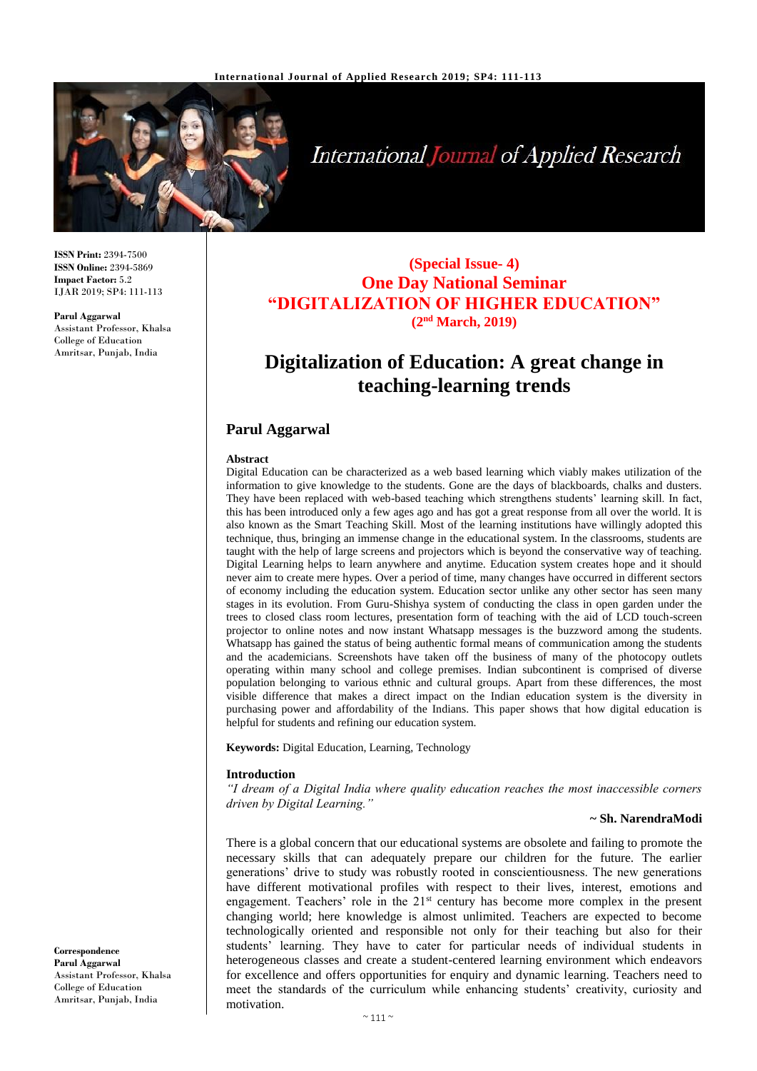

# International Journal of Applied Research

**ISSN Print:** 2394-7500 **ISSN Online:** 2394-5869 **Impact Factor:** 5.2 IJAR 2019; SP4: 111-113

**Parul Aggarwal** Assistant Professor, Khalsa College of Education Amritsar, Punjab, India

# **(Special Issue- 4) One Day National Seminar "DIGITALIZATION OF HIGHER EDUCATION" (2nd March, 2019)**

# **Digitalization of Education: A great change in teaching-learning trends**

# **Parul Aggarwal**

#### **Abstract**

Digital Education can be characterized as a web based learning which viably makes utilization of the information to give knowledge to the students. Gone are the days of blackboards, chalks and dusters. They have been replaced with web-based teaching which strengthens students' learning skill. In fact, this has been introduced only a few ages ago and has got a great response from all over the world. It is also known as the Smart Teaching Skill. Most of the learning institutions have willingly adopted this technique, thus, bringing an immense change in the educational system. In the classrooms, students are taught with the help of large screens and projectors which is beyond the conservative way of teaching. Digital Learning helps to learn anywhere and anytime. Education system creates hope and it should never aim to create mere hypes. Over a period of time, many changes have occurred in different sectors of economy including the education system. Education sector unlike any other sector has seen many stages in its evolution. From Guru-Shishya system of conducting the class in open garden under the trees to closed class room lectures, presentation form of teaching with the aid of LCD touch-screen projector to online notes and now instant Whatsapp messages is the buzzword among the students. Whatsapp has gained the status of being authentic formal means of communication among the students and the academicians. Screenshots have taken off the business of many of the photocopy outlets operating within many school and college premises. Indian subcontinent is comprised of diverse population belonging to various ethnic and cultural groups. Apart from these differences, the most visible difference that makes a direct impact on the Indian education system is the diversity in purchasing power and affordability of the Indians. This paper shows that how digital education is helpful for students and refining our education system.

**Keywords:** Digital Education, Learning, Technology

# **Introduction**

*"I dream of a Digital India where quality education reaches the most inaccessible corners driven by Digital Learning."*

#### **~ Sh. NarendraModi**

There is a global concern that our educational systems are obsolete and failing to promote the necessary skills that can adequately prepare our children for the future. The earlier generations' drive to study was robustly rooted in conscientiousness. The new generations have different motivational profiles with respect to their lives, interest, emotions and engagement. Teachers' role in the  $21<sup>st</sup>$  century has become more complex in the present changing world; here knowledge is almost unlimited. Teachers are expected to become technologically oriented and responsible not only for their teaching but also for their students' learning. They have to cater for particular needs of individual students in heterogeneous classes and create a student-centered learning environment which endeavors for excellence and offers opportunities for enquiry and dynamic learning. Teachers need to meet the standards of the curriculum while enhancing students' creativity, curiosity and motivation.

**Correspondence Parul Aggarwal** Assistant Professor, Khalsa College of Education Amritsar, Punjab, India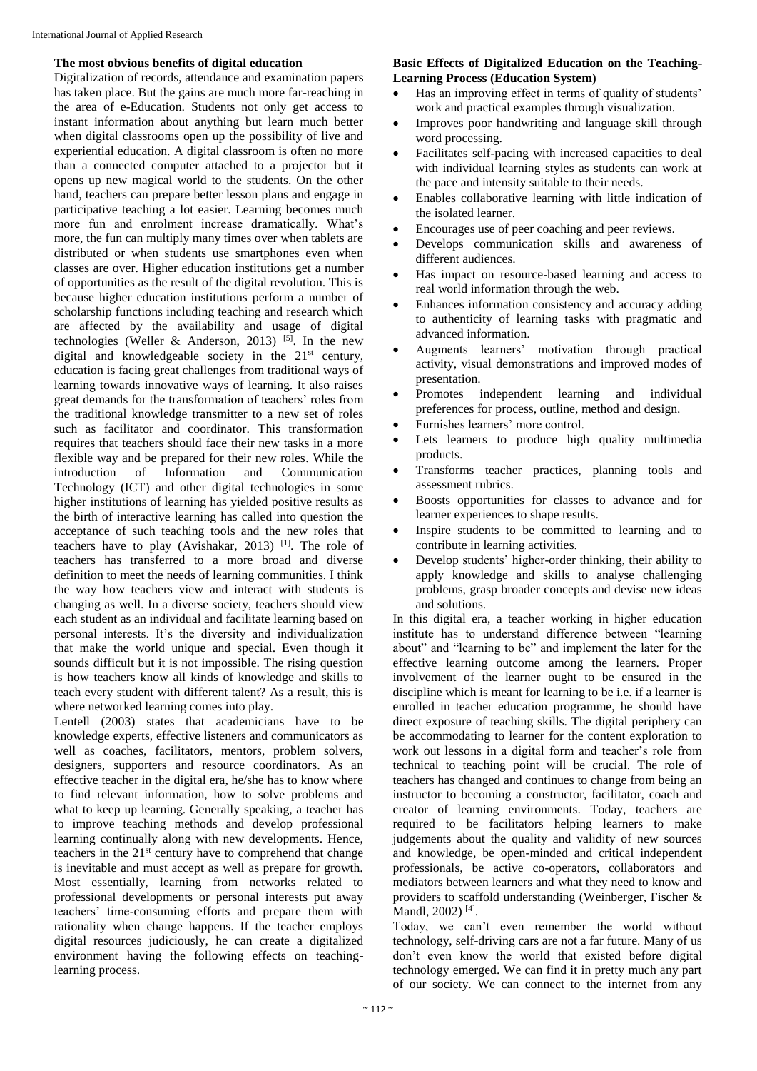# **The most obvious benefits of digital education**

Digitalization of records, attendance and examination papers has taken place. But the gains are much more far-reaching in the area of e-Education. Students not only get access to instant information about anything but learn much better when digital classrooms open up the possibility of live and experiential education. A digital classroom is often no more than a connected computer attached to a projector but it opens up new magical world to the students. On the other hand, teachers can prepare better lesson plans and engage in participative teaching a lot easier. Learning becomes much more fun and enrolment increase dramatically. What's more, the fun can multiply many times over when tablets are distributed or when students use smartphones even when classes are over. Higher education institutions get a number of opportunities as the result of the digital revolution. This is because higher education institutions perform a number of scholarship functions including teaching and research which are affected by the availability and usage of digital technologies (Weller & Anderson, 2013) <sup>[5]</sup>. In the new digital and knowledgeable society in the  $21<sup>st</sup>$  century, education is facing great challenges from traditional ways of learning towards innovative ways of learning. It also raises great demands for the transformation of teachers' roles from the traditional knowledge transmitter to a new set of roles such as facilitator and coordinator. This transformation requires that teachers should face their new tasks in a more flexible way and be prepared for their new roles. While the introduction of Information and Communication Technology (ICT) and other digital technologies in some higher institutions of learning has yielded positive results as the birth of interactive learning has called into question the acceptance of such teaching tools and the new roles that teachers have to play (Avishakar, 2013) [1]. The role of teachers has transferred to a more broad and diverse definition to meet the needs of learning communities. I think the way how teachers view and interact with students is changing as well. In a diverse society, teachers should view each student as an individual and facilitate learning based on personal interests. It's the diversity and individualization that make the world unique and special. Even though it sounds difficult but it is not impossible. The rising question is how teachers know all kinds of knowledge and skills to teach every student with different talent? As a result, this is where networked learning comes into play.

Lentell (2003) states that academicians have to be knowledge experts, effective listeners and communicators as well as coaches, facilitators, mentors, problem solvers, designers, supporters and resource coordinators. As an effective teacher in the digital era, he/she has to know where to find relevant information, how to solve problems and what to keep up learning. Generally speaking, a teacher has to improve teaching methods and develop professional learning continually along with new developments. Hence, teachers in the  $21<sup>st</sup>$  century have to comprehend that change is inevitable and must accept as well as prepare for growth. Most essentially, learning from networks related to professional developments or personal interests put away teachers' time-consuming efforts and prepare them with rationality when change happens. If the teacher employs digital resources judiciously, he can create a digitalized environment having the following effects on teachinglearning process.

# **Basic Effects of Digitalized Education on the Teaching-Learning Process (Education System)**

- Has an improving effect in terms of quality of students' work and practical examples through visualization.
- Improves poor handwriting and language skill through word processing.
- Facilitates self-pacing with increased capacities to deal with individual learning styles as students can work at the pace and intensity suitable to their needs.
- Enables collaborative learning with little indication of the isolated learner.
- Encourages use of peer coaching and peer reviews.
- Develops communication skills and awareness of different audiences.
- Has impact on resource-based learning and access to real world information through the web.
- Enhances information consistency and accuracy adding to authenticity of learning tasks with pragmatic and advanced information.
- Augments learners' motivation through practical activity, visual demonstrations and improved modes of presentation.
- Promotes independent learning and individual preferences for process, outline, method and design.
- Furnishes learners' more control.
- Lets learners to produce high quality multimedia products.
- Transforms teacher practices, planning tools and assessment rubrics.
- Boosts opportunities for classes to advance and for learner experiences to shape results.
- Inspire students to be committed to learning and to contribute in learning activities.
- Develop students' higher-order thinking, their ability to apply knowledge and skills to analyse challenging problems, grasp broader concepts and devise new ideas and solutions.

In this digital era, a teacher working in higher education institute has to understand difference between "learning about" and "learning to be" and implement the later for the effective learning outcome among the learners. Proper involvement of the learner ought to be ensured in the discipline which is meant for learning to be i.e. if a learner is enrolled in teacher education programme, he should have direct exposure of teaching skills. The digital periphery can be accommodating to learner for the content exploration to work out lessons in a digital form and teacher's role from technical to teaching point will be crucial. The role of teachers has changed and continues to change from being an instructor to becoming a constructor, facilitator, coach and creator of learning environments. Today, teachers are required to be facilitators helping learners to make judgements about the quality and validity of new sources and knowledge, be open-minded and critical independent professionals, be active co-operators, collaborators and mediators between learners and what they need to know and providers to scaffold understanding (Weinberger, Fischer & Mandl, 2002)<sup>[4]</sup>.

Today, we can't even remember the world without technology, self-driving cars are not a far future. Many of us don't even know the world that existed before digital technology emerged. We can find it in pretty much any part of our society. We can connect to the internet from any